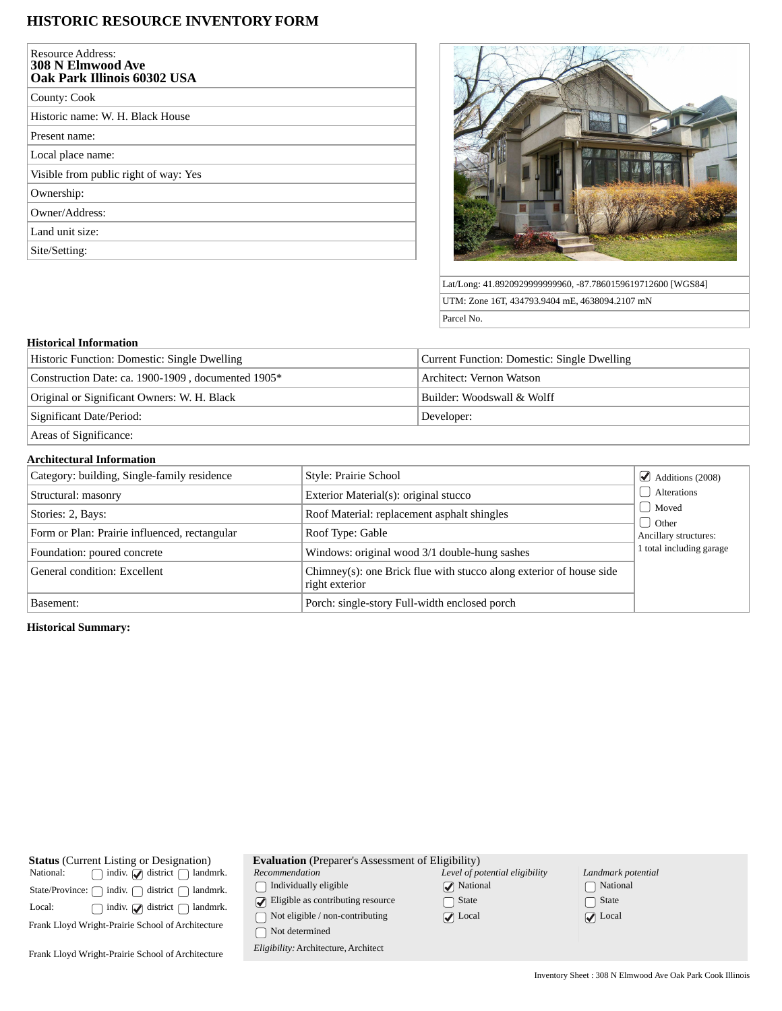# **HISTORIC RESOURCE INVENTORY FORM**

| <b>Resource Address:</b><br><b>308 N Elmwood Ave</b><br>Oak Park Illinois 60302 USA |
|-------------------------------------------------------------------------------------|
| County: Cook                                                                        |
| Historic name: W. H. Black House                                                    |
| Present name:                                                                       |
| Local place name:                                                                   |
| Visible from public right of way: Yes                                               |
| Ownership:                                                                          |
| Owner/Address:                                                                      |
| Land unit size:                                                                     |
| Site/Setting:                                                                       |



Lat/Long: 41.8920929999999960, -87.7860159619712600 [WGS84] UTM: Zone 16T, 434793.9404 mE, 4638094.2107 mN Parcel No.

### **Historical Information**

| Historic Function: Domestic: Single Dwelling       | Current Function: Domestic: Single Dwelling |  |
|----------------------------------------------------|---------------------------------------------|--|
| Construction Date: ca. 1900-1909, documented 1905* | Architect: Vernon Watson                    |  |
| Original or Significant Owners: W. H. Black        | Builder: Woodswall & Wolff                  |  |
| Significant Date/Period:                           | Developer:                                  |  |
| Areas of Significance:                             |                                             |  |

# **Architectural Information**

| Category: building, Single-family residence   | Style: Prairie School                                                                 | $\triangleleft$ Additions (2008) |  |  |
|-----------------------------------------------|---------------------------------------------------------------------------------------|----------------------------------|--|--|
| Structural: masonry                           | Exterior Material(s): original stucco                                                 | Alterations                      |  |  |
| Stories: 2, Bays:                             | Roof Material: replacement asphalt shingles                                           | Moved<br>d Other                 |  |  |
| Form or Plan: Prairie influenced, rectangular | Roof Type: Gable                                                                      | Ancillary structures:            |  |  |
| Foundation: poured concrete                   | Windows: original wood 3/1 double-hung sashes                                         | 1 total including garage         |  |  |
| General condition: Excellent                  | Chimney(s): one Brick flue with stucco along exterior of house side<br>right exterior |                                  |  |  |
| Basement:                                     | Porch: single-story Full-width enclosed porch                                         |                                  |  |  |

## **Historical Summary:**

| <b>Status</b> (Current Listing or Designation)                | <b>Evaluation</b> (Preparer's Assessment of Eligibility) |                                |                            |
|---------------------------------------------------------------|----------------------------------------------------------|--------------------------------|----------------------------|
| indiv. $\bigcirc$ district $\bigcap$<br>National:<br>landmrk. | Recommendation                                           | Level of potential eligibility | Landmark potential         |
| district (<br>indiv. $\bigcap$<br>State/Province:<br>landmrk. | Individually eligible                                    | $\sqrt{\phantom{a}}$ National  | National                   |
| indiv. $\Box$ district $\Box$<br>Local:<br>landmrk.           | $\triangleright$ Eligible as contributing resource       | State                          | □ State                    |
|                                                               | Not eligible / non-contributing                          | $\sqrt{\phantom{a}}$ Local     | $\sqrt{\phantom{a}}$ Local |
| Frank Lloyd Wright-Prairie School of Architecture             | Not determined                                           |                                |                            |
| Frank Lloyd Wright-Prairie School of Architecture             | Eligibility: Architecture, Architect                     |                                |                            |